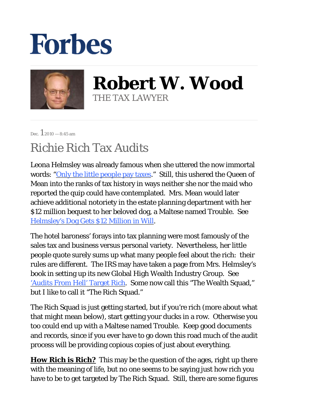## **Forbes**



**Robert W. Wood** THE TAX LAWYER

Dec.  $1_{2010 - 8:45 \text{ am}}$ 

## Richie Rich Tax Audits

Leona Helmsley was already famous when she uttered the now immortal words: ["Only the little people pay taxes.](http://topics.nytimes.com/top/reference/timestopics/people/h/leona_helmsley/index.html)" Still, this ushered the Queen of Mean into the ranks of tax history in ways neither she nor the maid who reported the quip could have contemplated. Mrs. Mean would later achieve additional notoriety in the estate planning department with her \$12 million bequest to her beloved dog, a Maltese named Trouble. See [Helmsley's Dog Gets \\$12 Million in Will](http://www.washingtonpost.com/wp-dyn/content/article/2007/08/29/AR2007082900491.html).

The hotel baroness' forays into tax planning were most famously of the sales tax and business versus personal variety. Nevertheless, her little people quote surely sums up what many people feel about the rich: their rules are different. The IRS may have taken a page from Mrs. Helmsley's book in setting up its new Global High Wealth Industry Group. See ['Audits From Hell' Target Rich](http://online.wsj.com/article/SB10001424052748704865704575610641497495762.html). Some now call this "The Wealth Squad," but I like to call it "The Rich Squad."

The Rich Squad is just getting started, but if you're rich (more about what that might mean below), start getting your ducks in a row. Otherwise you too could end up with a Maltese named Trouble. Keep good documents and records, since if you ever have to go down this road much of the audit process will be providing copious copies of just about everything.

**How Rich is Rich?** This may be the question of the ages, right up there with the meaning of life, but no one seems to be saying just how rich you have to be to get targeted by The Rich Squad. Still, there are some figures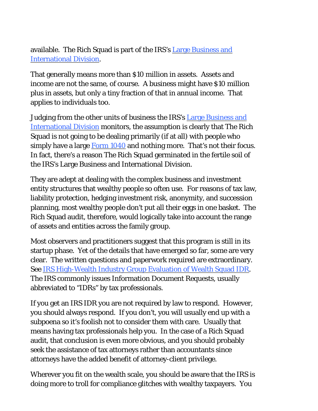available. The Rich Squad is part of the IRS's [Large Business and](http://www.irs.gov/irs/article/0,,id=96387,00.html) [International Division.](http://www.irs.gov/irs/article/0,,id=96387,00.html) 

That generally means more than \$10 million in assets. Assets and income are not the same, of course. A business might have \$10 million plus in assets, but only a tiny fraction of that in annual income. That applies to individuals too.

Judging from the other units of business the IRS's [Large Business and](http://www.irs.gov/pub/irs-utl/lmsborg.pdf) [International Division](http://www.irs.gov/pub/irs-utl/lmsborg.pdf) monitors, the assumption is clearly that The Rich Squad is not going to be dealing primarily (if at all) with people who simply have a large **Form 1040** and nothing more. That's not their focus. In fact, there's a reason The Rich Squad germinated in the fertile soil of the IRS's Large Business and International Division.

They are adept at dealing with the complex business and investment entity structures that wealthy people so often use. For reasons of tax law, liability protection, hedging investment risk, anonymity, and succession planning, most wealthy people don't put all their eggs in one basket. The Rich Squad audit, therefore, would logically take into account the range of assets and entities across the family group.

Most observers and practitioners suggest that this program is still in its startup phase. Yet of the details that have emerged so far, some are very clear. The written questions and paperwork required are extraordinary. Se[e IRS High-Wealth Industry Group Evaluation of Wealth Squad IDR](http://www.woodporter.com/Publications/Articles/pdf/IRS_High-Wealth_Industry_Group.pdf). The IRS commonly issues Information Document Requests, usually abbreviated to "IDRs" by tax professionals.

If you get an IRS IDR you are not required by law to respond. However, you should always respond. If you don't, you will usually end up with a subpoena so it's foolish not to consider them with care. Usually that means having tax professionals help you. In the case of a Rich Squad audit, that conclusion is even more obvious, and you should probably seek the assistance of tax attorneys rather than accountants since attorneys have the added benefit of attorney-client privilege.

Wherever you fit on the wealth scale, you should be aware that the IRS is doing more to troll for compliance glitches with wealthy taxpayers. You